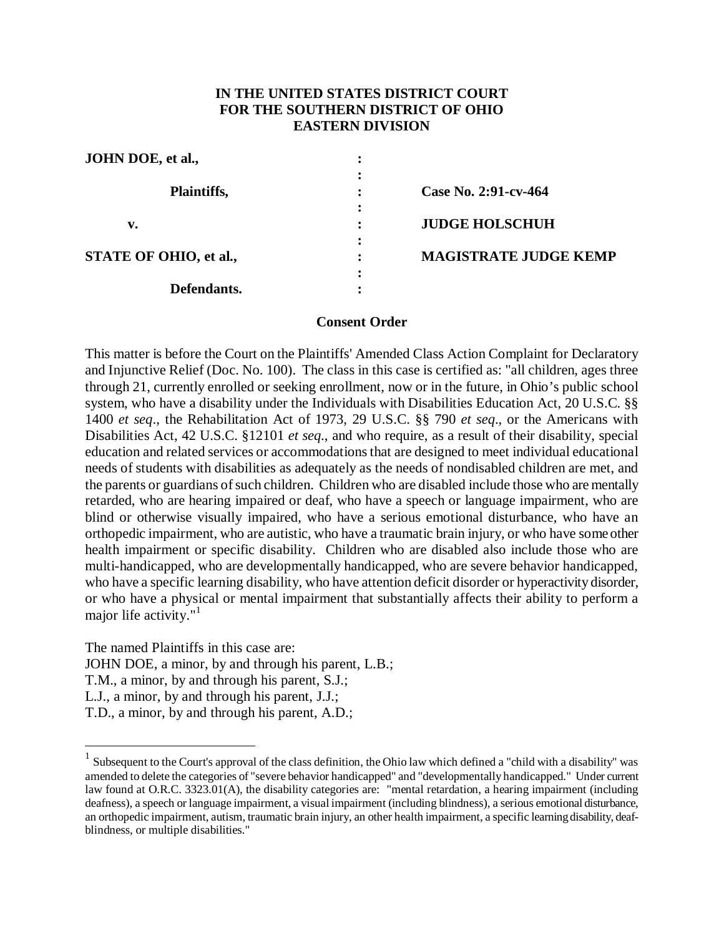## **IN THE UNITED STATES DISTRICT COURT FOR THE SOUTHERN DISTRICT OF OHIO EASTERN DIVISION**

| JOHN DOE, et al.,      | ٠                                                   |
|------------------------|-----------------------------------------------------|
| Plaintiffs,            | Case No. 2:91-cv-464<br>$\ddot{\cdot}$<br>$\bullet$ |
| v.                     | ٠<br><b>JUDGE HOLSCHUH</b>                          |
| STATE OF OHIO, et al., | $\ddot{\cdot}$<br><b>MAGISTRATE JUDGE KEMP</b><br>٠ |
| Defendants.            | $\ddot{\cdot}$                                      |

### **Consent Order**

This matter is before the Court on the Plaintiffs' Amended Class Action Complaint for Declaratory and Injunctive Relief (Doc. No. 100). The class in this case is certified as: "all children, ages three through 21, currently enrolled or seeking enrollment, now or in the future, in Ohio's public school system, who have a disability under the Individuals with Disabilities Education Act, 20 U.S.C. §§ 1400 *et seq*., the Rehabilitation Act of 1973, 29 U.S.C. §§ 790 *et seq*., or the Americans with Disabilities Act, 42 U.S.C. §12101 *et seq.*, and who require, as a result of their disability, special education and related services or accommodations that are designed to meet individual educational needs of students with disabilities as adequately as the needs of nondisabled children are met, and the parents or guardians of such children. Children who are disabled include those who are mentally retarded, who are hearing impaired or deaf, who have a speech or language impairment, who are blind or otherwise visually impaired, who have a serious emotional disturbance, who have an orthopedic impairment, who are autistic, who have a traumatic brain injury, or who have some other health impairment or specific disability. Children who are disabled also include those who are multi-handicapped, who are developmentally handicapped, who are severe behavior handicapped, who have a specific learning disability, who have attention deficit disorder or hyperactivity disorder, or who have a physical or mental impairment that substantially affects their ability to perform a major life activity."<sup>1</sup>

The named Plaintiffs in this case are:

1

JOHN DOE, a minor, by and through his parent, L.B.;

T.M., a minor, by and through his parent, S.J.;

L.J., a minor, by and through his parent, J.J.;

T.D., a minor, by and through his parent, A.D.;

 $<sup>1</sup>$  Subsequent to the Court's approval of the class definition, the Ohio law which defined a "child with a disability" was</sup> amended to delete the categories of "severe behavior handicapped" and "developmentally handicapped." Under current law found at O.R.C. 3323.01(A), the disability categories are: "mental retardation, a hearing impairment (including deafness), a speech or language impairment, a visual impairment (including blindness), a serious emotional disturbance, an orthopedic impairment, autism, traumatic brain injury, an other health impairment, a specific learning disability, deafblindness, or multiple disabilities."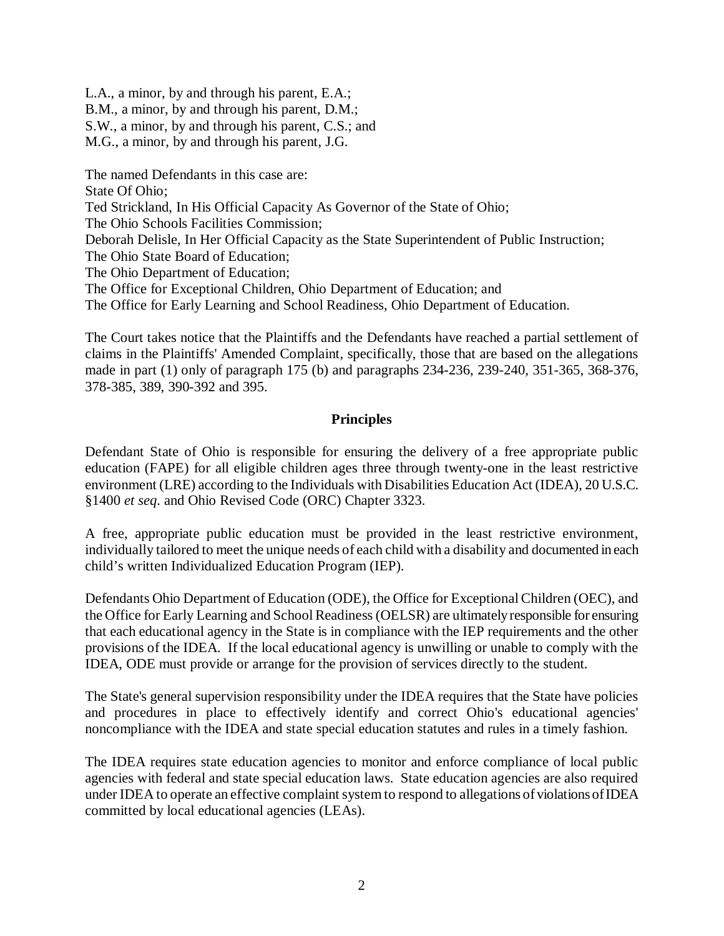L.A., a minor, by and through his parent, E.A.;

B.M., a minor, by and through his parent, D.M.;

S.W., a minor, by and through his parent, C.S.; and

M.G., a minor, by and through his parent, J.G.

The named Defendants in this case are: State Of Ohio; Ted Strickland, In His Official Capacity As Governor of the State of Ohio; The Ohio Schools Facilities Commission; Deborah Delisle, In Her Official Capacity as the State Superintendent of Public Instruction; The Ohio State Board of Education; The Ohio Department of Education; The Office for Exceptional Children, Ohio Department of Education; and The Office for Early Learning and School Readiness, Ohio Department of Education.

The Court takes notice that the Plaintiffs and the Defendants have reached a partial settlement of claims in the Plaintiffs' Amended Complaint, specifically, those that are based on the allegations made in part (1) only of paragraph 175 (b) and paragraphs 234-236, 239-240, 351-365, 368-376, 378-385, 389, 390-392 and 395.

## **Principles**

Defendant State of Ohio is responsible for ensuring the delivery of a free appropriate public education (FAPE) for all eligible children ages three through twenty-one in the least restrictive environment (LRE) according to the Individuals with Disabilities Education Act (IDEA), 20 U.S.C. §1400 *et seq*. and Ohio Revised Code (ORC) Chapter 3323.

A free, appropriate public education must be provided in the least restrictive environment, individually tailored to meet the unique needs of each child with a disability and documented in each child's written Individualized Education Program (IEP).

Defendants Ohio Department of Education (ODE), the Office for Exceptional Children (OEC), and the Office for Early Learning and School Readiness (OELSR) are ultimately responsible for ensuring that each educational agency in the State is in compliance with the IEP requirements and the other provisions of the IDEA. If the local educational agency is unwilling or unable to comply with the IDEA, ODE must provide or arrange for the provision of services directly to the student.

The State's general supervision responsibility under the IDEA requires that the State have policies and procedures in place to effectively identify and correct Ohio's educational agencies' noncompliance with the IDEA and state special education statutes and rules in a timely fashion.

The IDEA requires state education agencies to monitor and enforce compliance of local public agencies with federal and state special education laws. State education agencies are also required under IDEA to operate an effective complaint system to respond to allegations of violations of IDEA committed by local educational agencies (LEAs).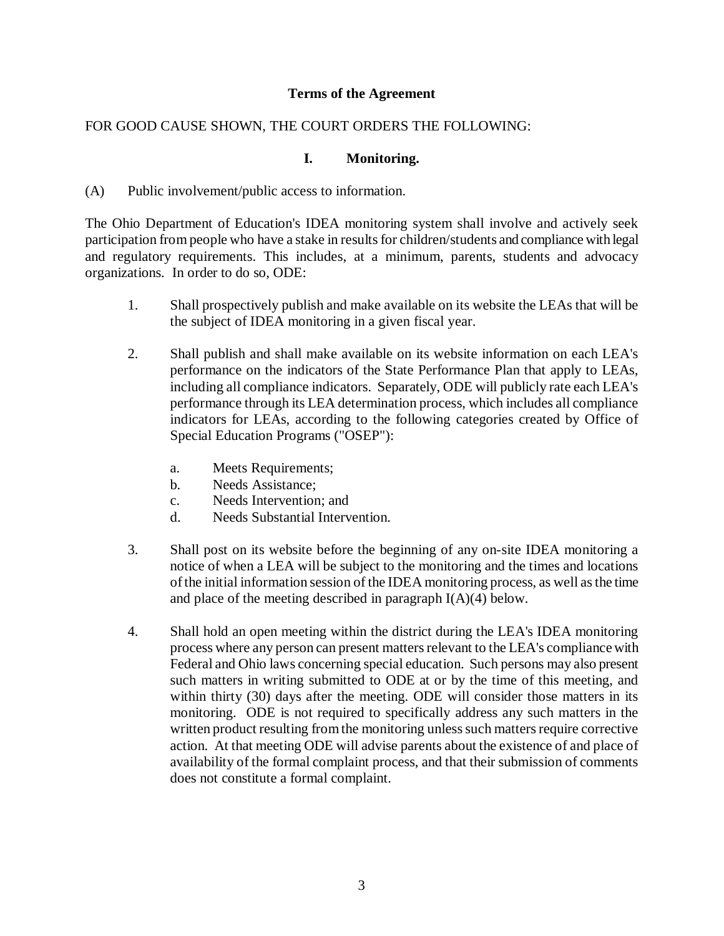## **Terms of the Agreement**

## FOR GOOD CAUSE SHOWN, THE COURT ORDERS THE FOLLOWING:

### **I. Monitoring.**

(A) Public involvement/public access to information.

The Ohio Department of Education's IDEA monitoring system shall involve and actively seek participation from people who have a stake in results for children/students and compliance with legal and regulatory requirements. This includes, at a minimum, parents, students and advocacy organizations. In order to do so, ODE:

- 1. Shall prospectively publish and make available on its website the LEAs that will be the subject of IDEA monitoring in a given fiscal year.
- 2. Shall publish and shall make available on its website information on each LEA's performance on the indicators of the State Performance Plan that apply to LEAs, including all compliance indicators. Separately, ODE will publicly rate each LEA's performance through its LEA determination process, which includes all compliance indicators for LEAs, according to the following categories created by Office of Special Education Programs ("OSEP"):
	- a. Meets Requirements;
	- b. Needs Assistance;
	- c. Needs Intervention; and
	- d. Needs Substantial Intervention.
- 3. Shall post on its website before the beginning of any on-site IDEA monitoring a notice of when a LEA will be subject to the monitoring and the times and locations ofthe initial information session of the IDEA monitoring process, as well asthe time and place of the meeting described in paragraph I(A)(4) below.
- 4. Shall hold an open meeting within the district during the LEA's IDEA monitoring process where any person can present mattersrelevant to the LEA's compliancewith Federal and Ohio laws concerning special education. Such persons may also present such matters in writing submitted to ODE at or by the time of this meeting, and within thirty (30) days after the meeting. ODE will consider those matters in its monitoring. ODE is not required to specifically address any such matters in the written product resulting from the monitoring unless such matters require corrective action. At that meeting ODE will advise parents about the existence of and place of availability of the formal complaint process, and that their submission of comments does not constitute a formal complaint.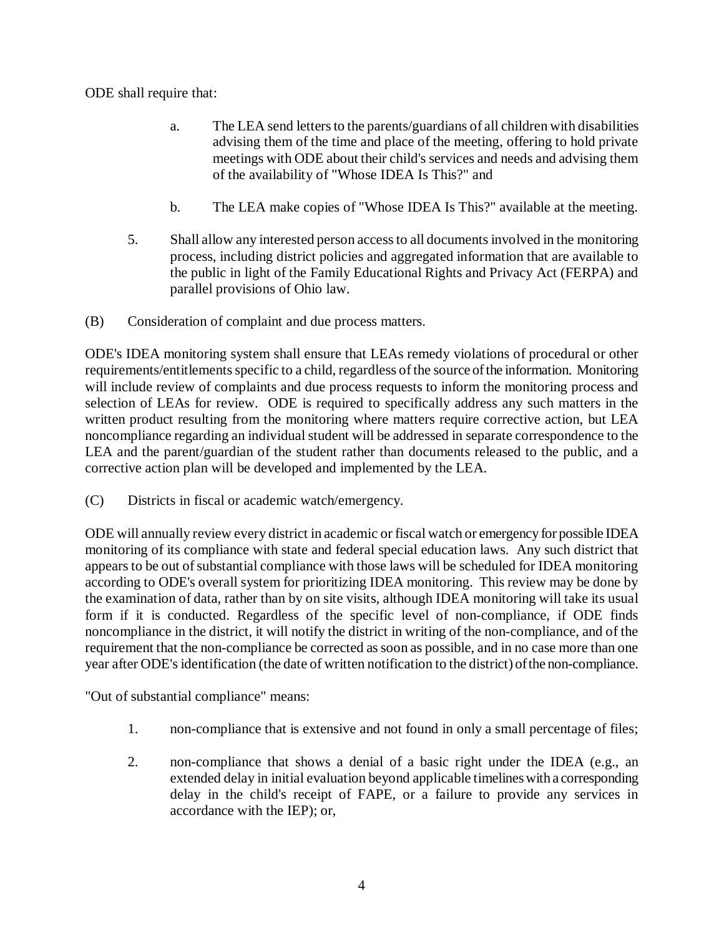ODE shall require that:

- a. The LEA send letters to the parents/guardians of all children with disabilities advising them of the time and place of the meeting, offering to hold private meetings with ODE about their child's services and needs and advising them of the availability of "Whose IDEA Is This?" and
- b. The LEA make copies of "Whose IDEA Is This?" available at the meeting.
- 5. Shall allow any interested person accessto all documentsinvolved in the monitoring process, including district policies and aggregated information that are available to the public in light of the Family Educational Rights and Privacy Act (FERPA) and parallel provisions of Ohio law.
- (B) Consideration of complaint and due process matters.

ODE's IDEA monitoring system shall ensure that LEAs remedy violations of procedural or other requirements/entitlements specific to a child, regardless of the source of the information. Monitoring will include review of complaints and due process requests to inform the monitoring process and selection of LEAs for review. ODE is required to specifically address any such matters in the written product resulting from the monitoring where matters require corrective action, but LEA noncompliance regarding an individual student will be addressed in separate correspondence to the LEA and the parent/guardian of the student rather than documents released to the public, and a corrective action plan will be developed and implemented by the LEA.

(C) Districts in fiscal or academic watch/emergency.

ODE will annually review every district in academic or fiscal watch or emergency for possible IDEA monitoring of its compliance with state and federal special education laws. Any such district that appears to be out of substantial compliance with those laws will be scheduled for IDEA monitoring according to ODE's overall system for prioritizing IDEA monitoring. This review may be done by the examination of data, rather than by on site visits, although IDEA monitoring will take its usual form if it is conducted. Regardless of the specific level of non-compliance, if ODE finds noncompliance in the district, it will notify the district in writing of the non-compliance, and of the requirement that the non-compliance be corrected assoon as possible, and in no case more than one year after ODE's identification (the date of written notification to the district) of the non-compliance.

"Out of substantial compliance" means:

- 1. non-compliance that is extensive and not found in only a small percentage of files;
- 2. non-compliance that shows a denial of a basic right under the IDEA (e.g., an extended delay in initial evaluation beyond applicable timelineswith a corresponding delay in the child's receipt of FAPE, or a failure to provide any services in accordance with the IEP); or,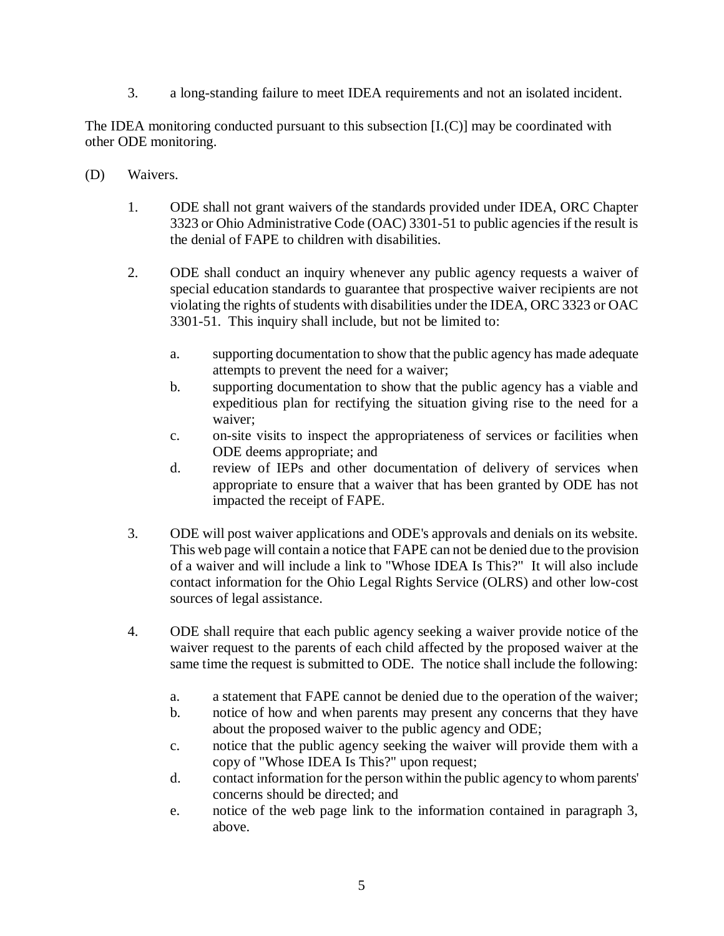3. a long-standing failure to meet IDEA requirements and not an isolated incident.

The IDEA monitoring conducted pursuant to this subsection  $[I(C)]$  may be coordinated with other ODE monitoring.

- (D) Waivers.
	- 1. ODE shall not grant waivers of the standards provided under IDEA, ORC Chapter 3323 or Ohio Administrative Code (OAC) 3301-51 to public agencies if the result is the denial of FAPE to children with disabilities.
	- 2. ODE shall conduct an inquiry whenever any public agency requests a waiver of special education standards to guarantee that prospective waiver recipients are not violating the rights of students with disabilities under the IDEA, ORC 3323 or OAC 3301-51. This inquiry shall include, but not be limited to:
		- a. supporting documentation to show that the public agency has made adequate attempts to prevent the need for a waiver;
		- b. supporting documentation to show that the public agency has a viable and expeditious plan for rectifying the situation giving rise to the need for a waiver;
		- c. on-site visits to inspect the appropriateness of services or facilities when ODE deems appropriate; and
		- d. review of IEPs and other documentation of delivery of services when appropriate to ensure that a waiver that has been granted by ODE has not impacted the receipt of FAPE.
	- 3. ODE will post waiver applications and ODE's approvals and denials on its website. This web page will contain a notice that FAPE can not be denied due to the provision of a waiver and will include a link to "Whose IDEA Is This?" It will also include contact information for the Ohio Legal Rights Service (OLRS) and other low-cost sources of legal assistance.
	- 4. ODE shall require that each public agency seeking a waiver provide notice of the waiver request to the parents of each child affected by the proposed waiver at the same time the request is submitted to ODE. The notice shall include the following:
		- a. a statement that FAPE cannot be denied due to the operation of the waiver;
		- b. notice of how and when parents may present any concerns that they have about the proposed waiver to the public agency and ODE;
		- c. notice that the public agency seeking the waiver will provide them with a copy of "Whose IDEA Is This?" upon request;
		- d. contact information for the person within the public agency to whom parents' concerns should be directed; and
		- e. notice of the web page link to the information contained in paragraph 3, above.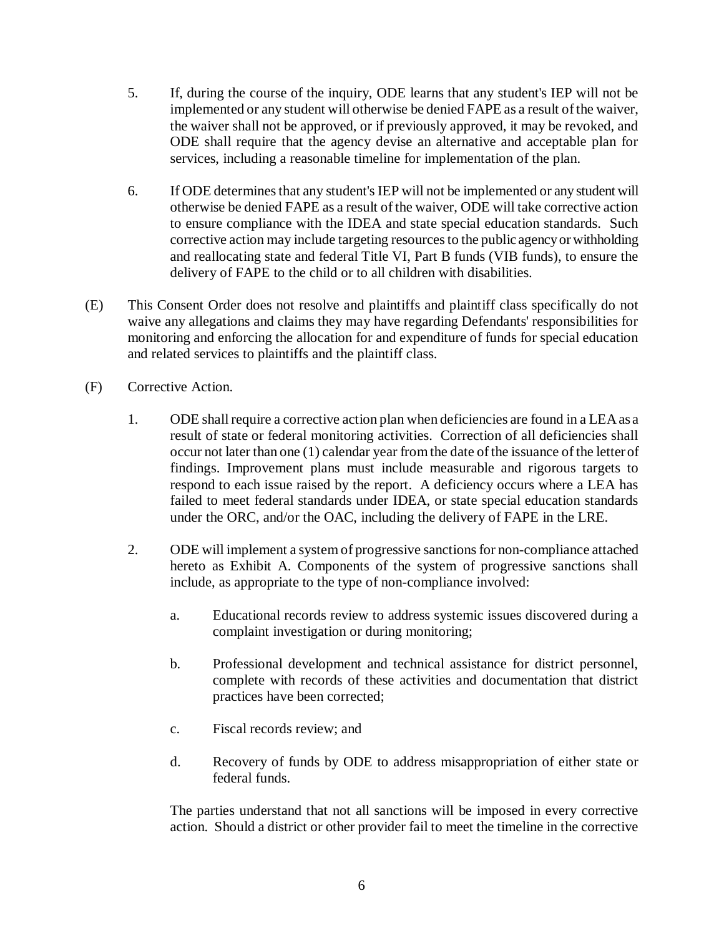- 5. If, during the course of the inquiry, ODE learns that any student's IEP will not be implemented or any student will otherwise be denied FAPE as a result ofthe waiver, the waiver shall not be approved, or if previously approved, it may be revoked, and ODE shall require that the agency devise an alternative and acceptable plan for services, including a reasonable timeline for implementation of the plan.
- 6. If ODE determines that any student's IEP will not be implemented or any student will otherwise be denied FAPE as a result of the waiver, ODE will take corrective action to ensure compliance with the IDEA and state special education standards. Such corrective action may include targeting resourcesto the public agencyor withholding and reallocating state and federal Title VI, Part B funds (VIB funds), to ensure the delivery of FAPE to the child or to all children with disabilities.
- (E) This Consent Order does not resolve and plaintiffs and plaintiff class specifically do not waive any allegations and claims they may have regarding Defendants' responsibilities for monitoring and enforcing the allocation for and expenditure of funds for special education and related services to plaintiffs and the plaintiff class.
- (F) Corrective Action.
	- 1. ODE shall require a corrective action plan when deficiencies are found in a LEA as a result of state or federal monitoring activities. Correction of all deficiencies shall occur not later than one (1) calendar year from the date of the issuance of the letter of findings. Improvement plans must include measurable and rigorous targets to respond to each issue raised by the report. A deficiency occurs where a LEA has failed to meet federal standards under IDEA, or state special education standards under the ORC, and/or the OAC, including the delivery of FAPE in the LRE.
	- 2. ODE will implement a system of progressive sanctions for non-compliance attached hereto as Exhibit A. Components of the system of progressive sanctions shall include, as appropriate to the type of non-compliance involved:
		- a. Educational records review to address systemic issues discovered during a complaint investigation or during monitoring;
		- b. Professional development and technical assistance for district personnel, complete with records of these activities and documentation that district practices have been corrected;
		- c. Fiscal records review; and
		- d. Recovery of funds by ODE to address misappropriation of either state or federal funds.

The parties understand that not all sanctions will be imposed in every corrective action. Should a district or other provider fail to meet the timeline in the corrective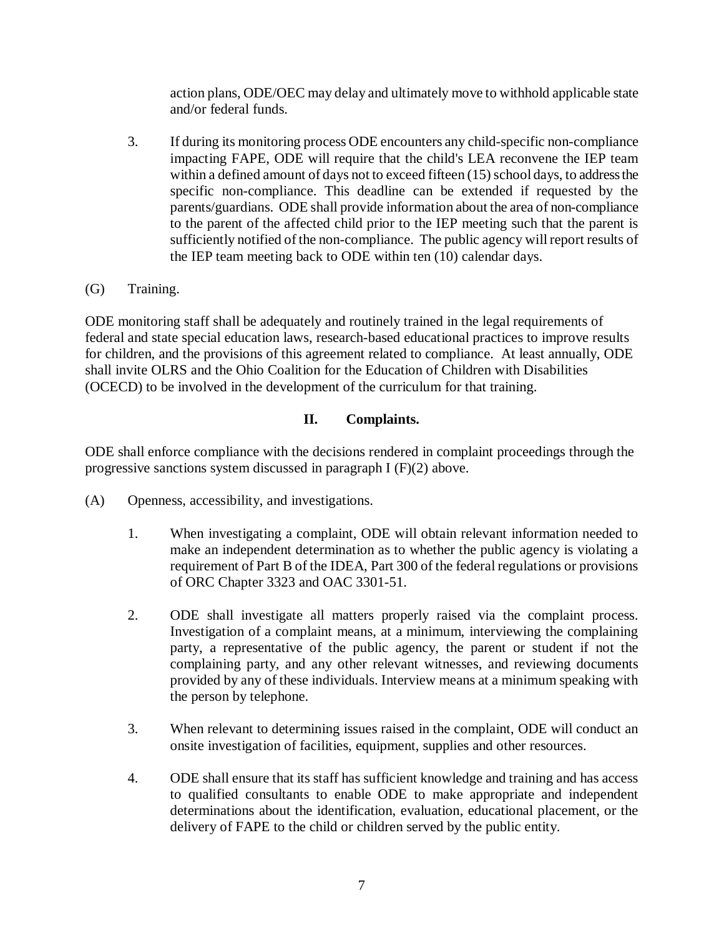action plans, ODE/OEC may delay and ultimately move to withhold applicable state and/or federal funds.

- 3. If during its monitoring process ODE encounters any child-specific non-compliance impacting FAPE, ODE will require that the child's LEA reconvene the IEP team within a defined amount of days not to exceed fifteen (15) school days, to address the specific non-compliance. This deadline can be extended if requested by the parents/guardians. ODE shall provide information about the area of non-compliance to the parent of the affected child prior to the IEP meeting such that the parent is sufficiently notified of the non-compliance. The public agency will report results of the IEP team meeting back to ODE within ten (10) calendar days.
- (G) Training.

ODE monitoring staff shall be adequately and routinely trained in the legal requirements of federal and state special education laws, research-based educational practices to improve results for children, and the provisions of this agreement related to compliance. At least annually, ODE shall invite OLRS and the Ohio Coalition for the Education of Children with Disabilities (OCECD) to be involved in the development of the curriculum for that training.

# **II. Complaints.**

ODE shall enforce compliance with the decisions rendered in complaint proceedings through the progressive sanctions system discussed in paragraph I (F)(2) above.

- (A) Openness, accessibility, and investigations.
	- 1. When investigating a complaint, ODE will obtain relevant information needed to make an independent determination as to whether the public agency is violating a requirement of Part B of the IDEA, Part 300 of the federal regulations or provisions of ORC Chapter 3323 and OAC 3301-51.
	- 2. ODE shall investigate all matters properly raised via the complaint process. Investigation of a complaint means, at a minimum, interviewing the complaining party, a representative of the public agency, the parent or student if not the complaining party, and any other relevant witnesses, and reviewing documents provided by any of these individuals. Interview means at a minimum speaking with the person by telephone.
	- 3. When relevant to determining issues raised in the complaint, ODE will conduct an onsite investigation of facilities, equipment, supplies and other resources.
	- 4. ODE shall ensure that its staff has sufficient knowledge and training and has access to qualified consultants to enable ODE to make appropriate and independent determinations about the identification, evaluation, educational placement, or the delivery of FAPE to the child or children served by the public entity.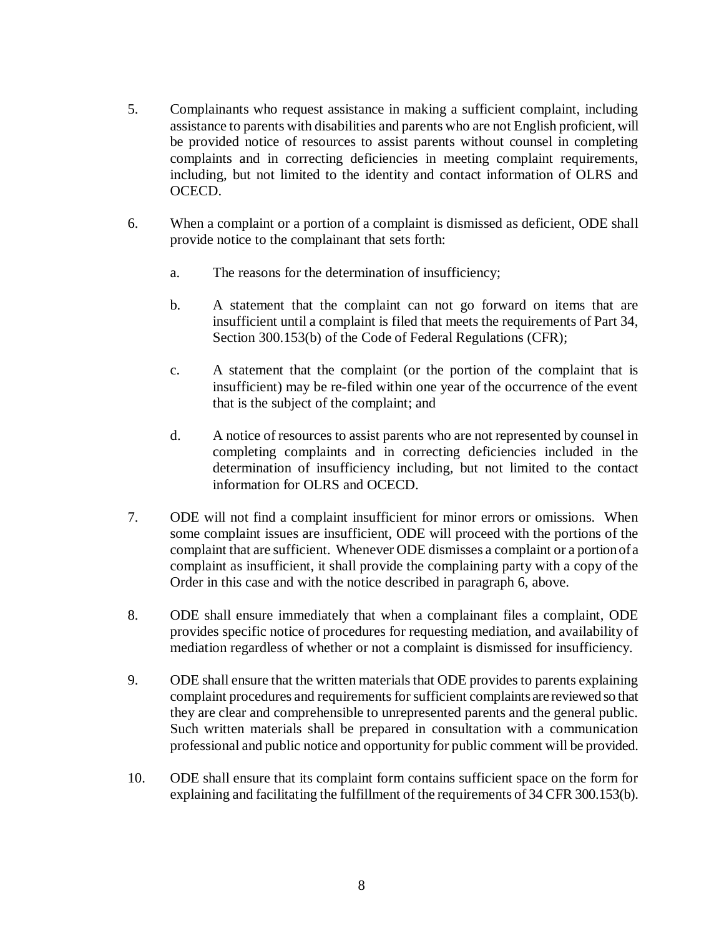- 5. Complainants who request assistance in making a sufficient complaint, including assistance to parents with disabilities and parents who are not English proficient, will be provided notice of resources to assist parents without counsel in completing complaints and in correcting deficiencies in meeting complaint requirements, including, but not limited to the identity and contact information of OLRS and OCECD.
- 6. When a complaint or a portion of a complaint is dismissed as deficient, ODE shall provide notice to the complainant that sets forth:
	- a. The reasons for the determination of insufficiency;
	- b. A statement that the complaint can not go forward on items that are insufficient until a complaint is filed that meets the requirements of Part 34, Section 300.153(b) of the Code of Federal Regulations (CFR);
	- c. A statement that the complaint (or the portion of the complaint that is insufficient) may be re-filed within one year of the occurrence of the event that is the subject of the complaint; and
	- d. A notice of resources to assist parents who are not represented by counsel in completing complaints and in correcting deficiencies included in the determination of insufficiency including, but not limited to the contact information for OLRS and OCECD.
- 7. ODE will not find a complaint insufficient for minor errors or omissions. When some complaint issues are insufficient, ODE will proceed with the portions of the complaint that are sufficient. Whenever ODE dismisses a complaint or a portionofa complaint as insufficient, it shall provide the complaining party with a copy of the Order in this case and with the notice described in paragraph 6, above.
- 8. ODE shall ensure immediately that when a complainant files a complaint, ODE provides specific notice of procedures for requesting mediation, and availability of mediation regardless of whether or not a complaint is dismissed for insufficiency.
- 9. ODE shall ensure that the written materials that ODE provides to parents explaining complaint procedures and requirementsforsufficient complaints are reviewed so that they are clear and comprehensible to unrepresented parents and the general public. Such written materials shall be prepared in consultation with a communication professional and public notice and opportunity for public comment will be provided.
- 10. ODE shall ensure that its complaint form contains sufficient space on the form for explaining and facilitating the fulfillment of the requirements of 34 CFR 300.153(b).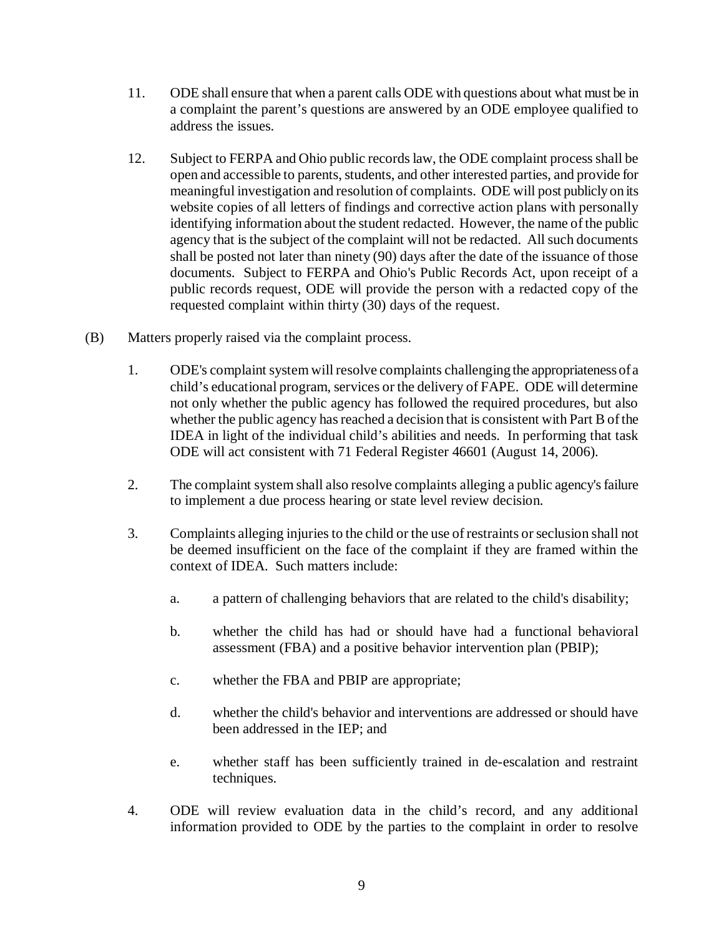- 11. ODE shall ensure that when a parent calls ODE with questions about what must be in a complaint the parent's questions are answered by an ODE employee qualified to address the issues.
- 12. Subject to FERPA and Ohio public records law, the ODE complaint process shall be open and accessible to parents, students, and other interested parties, and provide for meaningful investigation and resolution of complaints. ODE will post publiclyon its website copies of all letters of findings and corrective action plans with personally identifying information about the student redacted. However, the name of the public agency that is the subject of the complaint will not be redacted. All such documents shall be posted not later than ninety (90) days after the date of the issuance of those documents. Subject to FERPA and Ohio's Public Records Act, upon receipt of a public records request, ODE will provide the person with a redacted copy of the requested complaint within thirty (30) days of the request.
- (B) Matters properly raised via the complaint process.
	- 1. ODE's complaint system willresolve complaints challenging the appropriateness ofa child's educational program, services or the delivery of FAPE. ODE will determine not only whether the public agency has followed the required procedures, but also whether the public agency has reached a decision that is consistent with Part B of the IDEA in light of the individual child's abilities and needs. In performing that task ODE will act consistent with 71 Federal Register 46601 (August 14, 2006).
	- 2. The complaint system shall also resolve complaints alleging a public agency's failure to implement a due process hearing or state level review decision.
	- 3. Complaints alleging injuries to the child or the use of restraints or seclusion shall not be deemed insufficient on the face of the complaint if they are framed within the context of IDEA. Such matters include:
		- a. a pattern of challenging behaviors that are related to the child's disability;
		- b. whether the child has had or should have had a functional behavioral assessment (FBA) and a positive behavior intervention plan (PBIP);
		- c. whether the FBA and PBIP are appropriate;
		- d. whether the child's behavior and interventions are addressed or should have been addressed in the IEP; and
		- e. whether staff has been sufficiently trained in de-escalation and restraint techniques.
	- 4. ODE will review evaluation data in the child's record, and any additional information provided to ODE by the parties to the complaint in order to resolve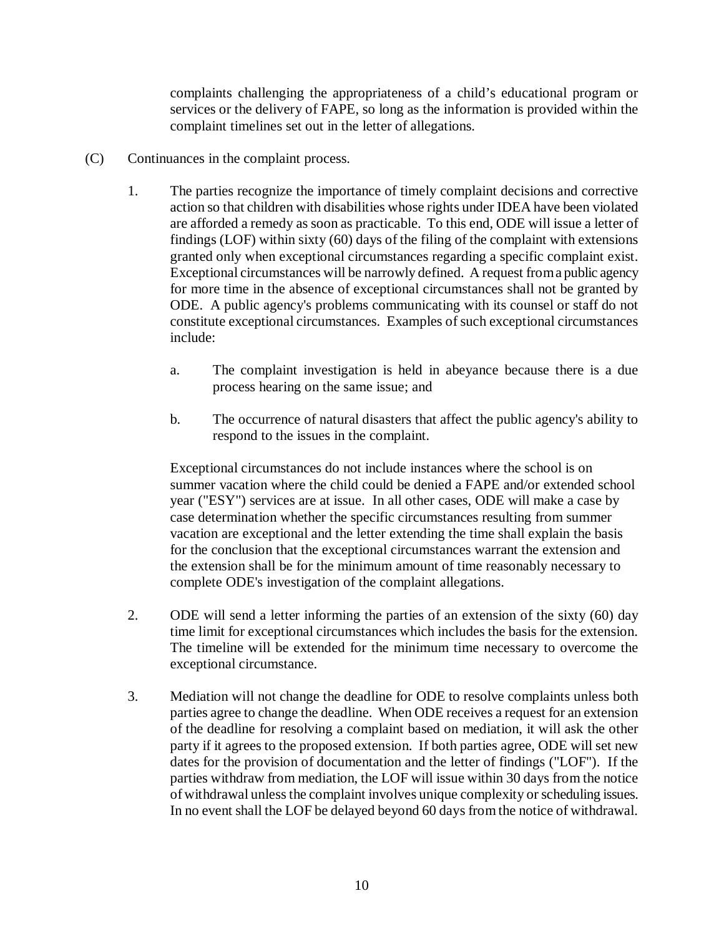complaints challenging the appropriateness of a child's educational program or services or the delivery of FAPE, so long as the information is provided within the complaint timelines set out in the letter of allegations.

- (C) Continuances in the complaint process.
	- 1. The parties recognize the importance of timely complaint decisions and corrective action so that children with disabilities whose rights under IDEA have been violated are afforded a remedy as soon as practicable. To this end, ODE will issue a letter of findings (LOF) within sixty (60) days of the filing of the complaint with extensions granted only when exceptional circumstances regarding a specific complaint exist. Exceptional circumstances will be narrowly defined. A request froma public agency for more time in the absence of exceptional circumstances shall not be granted by ODE. A public agency's problems communicating with its counsel or staff do not constitute exceptional circumstances. Examples of such exceptional circumstances include:
		- a. The complaint investigation is held in abeyance because there is a due process hearing on the same issue; and
		- b. The occurrence of natural disasters that affect the public agency's ability to respond to the issues in the complaint.

Exceptional circumstances do not include instances where the school is on summer vacation where the child could be denied a FAPE and/or extended school year ("ESY") services are at issue. In all other cases, ODE will make a case by case determination whether the specific circumstances resulting from summer vacation are exceptional and the letter extending the time shall explain the basis for the conclusion that the exceptional circumstances warrant the extension and the extension shall be for the minimum amount of time reasonably necessary to complete ODE's investigation of the complaint allegations.

- 2. ODE will send a letter informing the parties of an extension of the sixty (60) day time limit for exceptional circumstances which includes the basis for the extension. The timeline will be extended for the minimum time necessary to overcome the exceptional circumstance.
- 3. Mediation will not change the deadline for ODE to resolve complaints unless both parties agree to change the deadline. When ODE receives a request for an extension of the deadline for resolving a complaint based on mediation, it will ask the other party if it agrees to the proposed extension. If both parties agree, ODE will set new dates for the provision of documentation and the letter of findings ("LOF"). If the parties withdraw from mediation, the LOF will issue within 30 days from the notice of withdrawal unlessthe complaint involves unique complexity orscheduling issues. In no event shall the LOF be delayed beyond 60 days from the notice of withdrawal.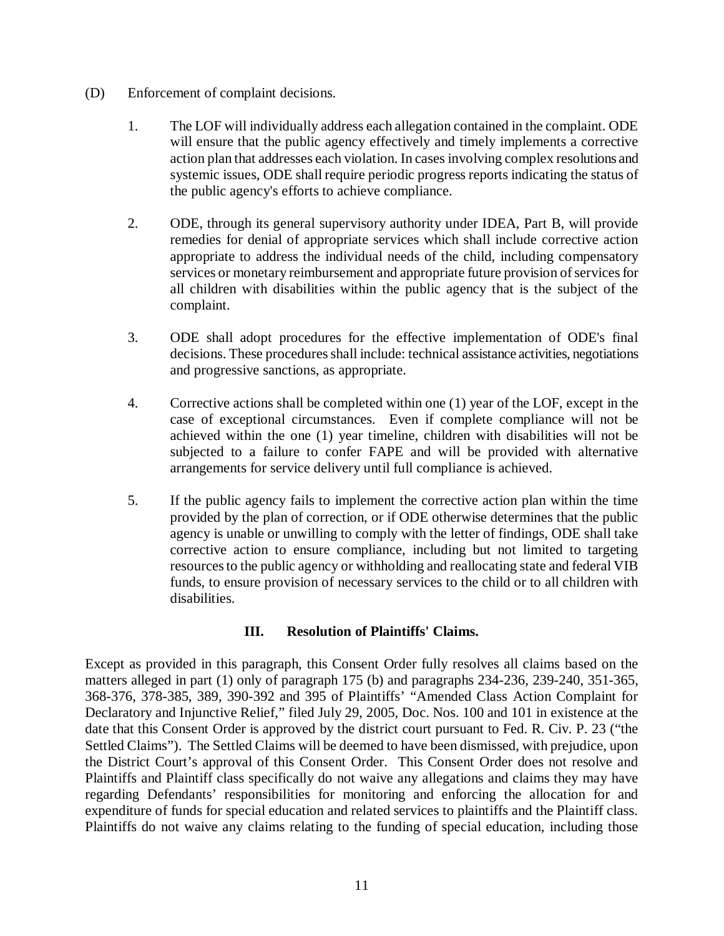- (D) Enforcement of complaint decisions.
	- 1. The LOF will individually address each allegation contained in the complaint. ODE will ensure that the public agency effectively and timely implements a corrective action plan that addresses each violation. In cases involving complex resolutions and systemic issues, ODE shall require periodic progress reports indicating the status of the public agency's efforts to achieve compliance.
	- 2. ODE, through its general supervisory authority under IDEA, Part B, will provide remedies for denial of appropriate services which shall include corrective action appropriate to address the individual needs of the child, including compensatory services or monetary reimbursement and appropriate future provision of services for all children with disabilities within the public agency that is the subject of the complaint.
	- 3. ODE shall adopt procedures for the effective implementation of ODE's final decisions. These procedures shall include: technical assistance activities, negotiations and progressive sanctions, as appropriate.
	- 4. Corrective actions shall be completed within one (1) year of the LOF, except in the case of exceptional circumstances. Even if complete compliance will not be achieved within the one (1) year timeline, children with disabilities will not be subjected to a failure to confer FAPE and will be provided with alternative arrangements for service delivery until full compliance is achieved.
	- 5. If the public agency fails to implement the corrective action plan within the time provided by the plan of correction, or if ODE otherwise determines that the public agency is unable or unwilling to comply with the letter of findings, ODE shall take corrective action to ensure compliance, including but not limited to targeting resourcesto the public agency or withholding and reallocating state and federal VIB funds, to ensure provision of necessary services to the child or to all children with disabilities.

## **III. Resolution of Plaintiffs' Claims.**

Except as provided in this paragraph, this Consent Order fully resolves all claims based on the matters alleged in part (1) only of paragraph 175 (b) and paragraphs 234-236, 239-240, 351-365, 368-376, 378-385, 389, 390-392 and 395 of Plaintiffs' "Amended Class Action Complaint for Declaratory and Injunctive Relief," filed July 29, 2005, Doc. Nos. 100 and 101 in existence at the date that this Consent Order is approved by the district court pursuant to Fed. R. Civ. P. 23 ("the Settled Claims"). The Settled Claims will be deemed to have been dismissed, with prejudice, upon the District Court's approval of this Consent Order. This Consent Order does not resolve and Plaintiffs and Plaintiff class specifically do not waive any allegations and claims they may have regarding Defendants' responsibilities for monitoring and enforcing the allocation for and expenditure of funds for special education and related services to plaintiffs and the Plaintiff class. Plaintiffs do not waive any claims relating to the funding of special education, including those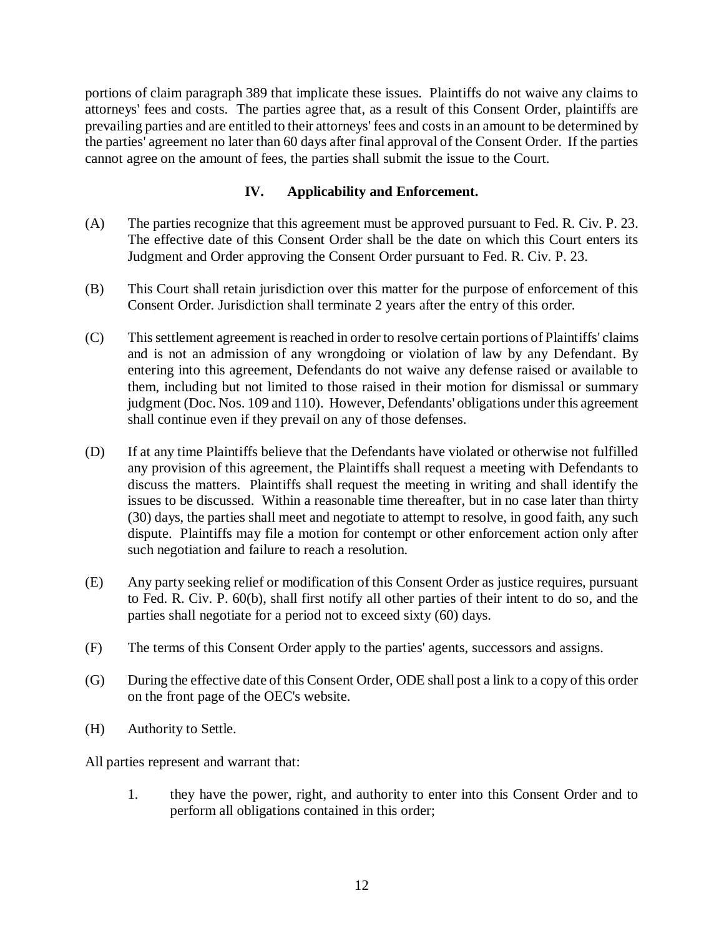portions of claim paragraph 389 that implicate these issues. Plaintiffs do not waive any claims to attorneys' fees and costs. The parties agree that, as a result of this Consent Order, plaintiffs are prevailing parties and are entitled to their attorneys' fees and costsin an amount to be determined by the parties' agreement no later than 60 days after final approval of the Consent Order. If the parties cannot agree on the amount of fees, the parties shall submit the issue to the Court.

## **IV. Applicability and Enforcement.**

- (A) The parties recognize that this agreement must be approved pursuant to Fed. R. Civ. P. 23. The effective date of this Consent Order shall be the date on which this Court enters its Judgment and Order approving the Consent Order pursuant to Fed. R. Civ. P. 23.
- (B) This Court shall retain jurisdiction over this matter for the purpose of enforcement of this Consent Order. Jurisdiction shall terminate 2 years after the entry of this order.
- (C) Thissettlement agreement isreached in order to resolve certain portions of Plaintiffs' claims and is not an admission of any wrongdoing or violation of law by any Defendant. By entering into this agreement, Defendants do not waive any defense raised or available to them, including but not limited to those raised in their motion for dismissal or summary judgment (Doc. Nos. 109 and 110). However, Defendants' obligations under this agreement shall continue even if they prevail on any of those defenses.
- (D) If at any time Plaintiffs believe that the Defendants have violated or otherwise not fulfilled any provision of this agreement, the Plaintiffs shall request a meeting with Defendants to discuss the matters. Plaintiffs shall request the meeting in writing and shall identify the issues to be discussed. Within a reasonable time thereafter, but in no case later than thirty (30) days, the parties shall meet and negotiate to attempt to resolve, in good faith, any such dispute. Plaintiffs may file a motion for contempt or other enforcement action only after such negotiation and failure to reach a resolution.
- (E) Any party seeking relief or modification of this Consent Order as justice requires, pursuant to Fed. R. Civ. P. 60(b), shall first notify all other parties of their intent to do so, and the parties shall negotiate for a period not to exceed sixty (60) days.
- (F) The terms of this Consent Order apply to the parties' agents, successors and assigns.
- (G) During the effective date of this Consent Order, ODE shall post a link to a copy of this order on the front page of the OEC's website.
- (H) Authority to Settle.

All parties represent and warrant that:

1. they have the power, right, and authority to enter into this Consent Order and to perform all obligations contained in this order;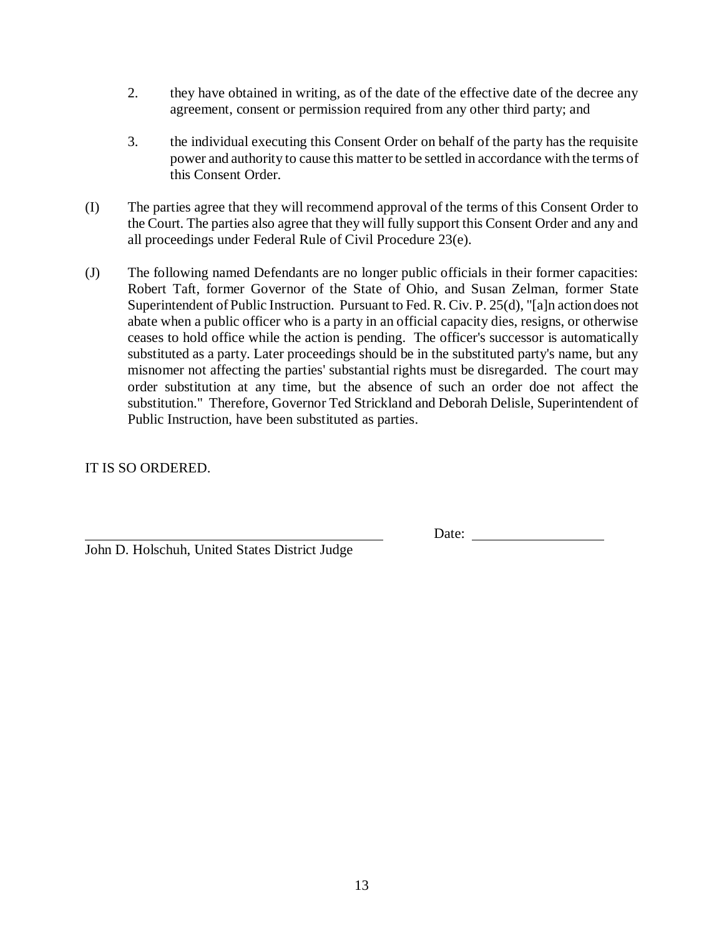- 2. they have obtained in writing, as of the date of the effective date of the decree any agreement, consent or permission required from any other third party; and
- 3. the individual executing this Consent Order on behalf of the party has the requisite power and authority to cause this matter to be settled in accordance with the terms of this Consent Order.
- (I) The parties agree that they will recommend approval of the terms of this Consent Order to the Court. The parties also agree that they will fully support this Consent Order and any and all proceedings under Federal Rule of Civil Procedure 23(e).
- (J) The following named Defendants are no longer public officials in their former capacities: Robert Taft, former Governor of the State of Ohio, and Susan Zelman, former State Superintendent of Public Instruction. Pursuant to Fed. R. Civ. P. 25(d), "[a]n actiondoes not abate when a public officer who is a party in an official capacity dies, resigns, or otherwise ceases to hold office while the action is pending. The officer's successor is automatically substituted as a party. Later proceedings should be in the substituted party's name, but any misnomer not affecting the parties' substantial rights must be disregarded. The court may order substitution at any time, but the absence of such an order doe not affect the substitution." Therefore, Governor Ted Strickland and Deborah Delisle, Superintendent of Public Instruction, have been substituted as parties.

## IT IS SO ORDERED.

Date:

John D. Holschuh, United States District Judge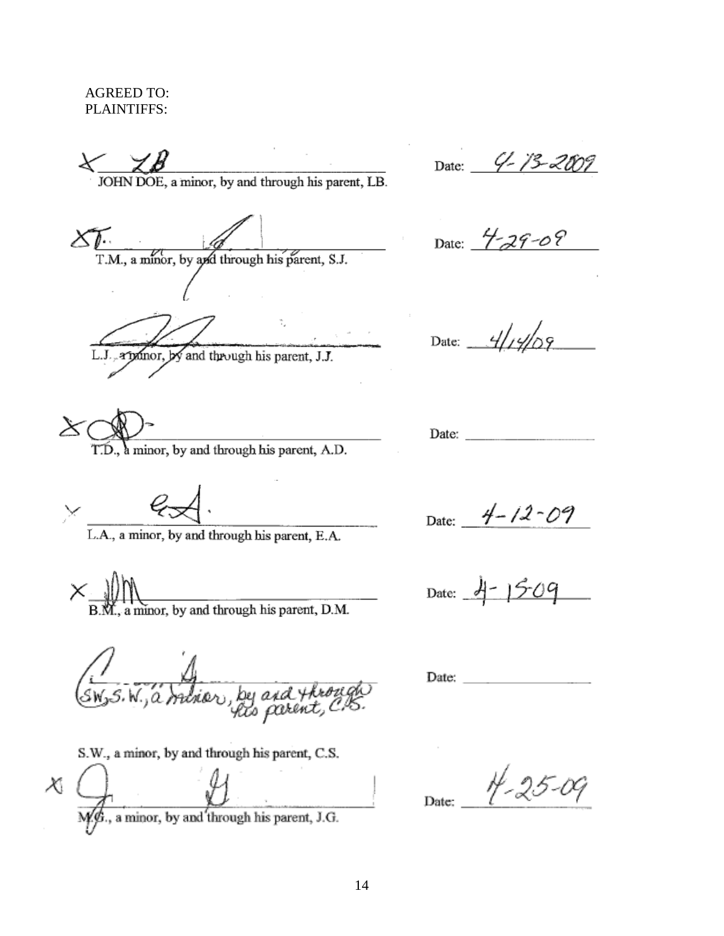AGREED TO: PLAINTIFFS:

 $\begin{array}{c}\n\diagup \diagup \bigtimes \mathcal{B}\n\end{array}$  JOHN DOE, a minor, by and through his parent, LB.

Date: 4-13-2009

 $\sum_{T.M., a \text{ minor, by } q \neq 0}$  through his parent, S.J.

L.J., a poinor, by and through his parent, J.J.

T.D., a minor, by and through his parent, A.D.

L.A., a minor, by and through his parent, E.A.

a minor, by and through his parent, D.M.

(SW, S.W., a Indian, by and through

S.W., a minor, by and through his parent, C.S.

M. S., a minor, by and through his parent, J.G.  $\chi$ 

Date:  $4 - 29 - 08$ 

Date:  $4/19/09$ 

Date:  $4-12-09$ 

Date:  $4 - 1509$ 

Date: **Contract Contract Contract** 

 $4 - 25 - 09$ Date: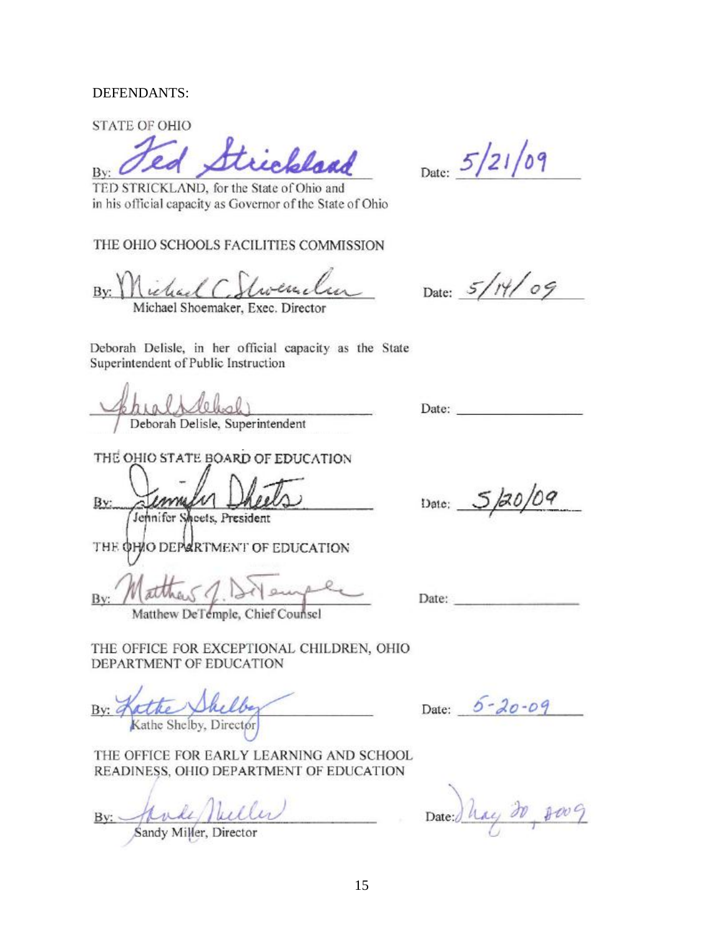### DEFENDANTS:

**STATE OF OHIO** 

Strickland By:

Date:  $5/21/09$ 

TED STRICKLAND, for the State of Ohio and in his official capacity as Governor of the State of Ohio

THE OHIO SCHOOLS FACILITIES COMMISSION

Victorial C.  $Bv:$ Michael Shoemaker, Exec. Director

Date: 5/14/09

Deborah Delisle, in her official capacity as the State Superintendent of Public Instruction

Deborah Delisle, Superintendent

THE OHIO STATE BOARD OF EDUCATION  $\Lambda$ Bv:

Jennifer Sheets, President

THE OHIO DEPARTMENT OF EDUCATION

By:

Matthew DeTemple, Chief Counsel

THE OFFICE FOR EXCEPTIONAL CHILDREN, OHIO DEPARTMENT OF EDUCATION

By:  $q$ Kathe Shelby, Director

Date:  $5 - 20 - 09$ 

THE OFFICE FOR EARLY LEARNING AND SCHOOL READINESS, OHIO DEPARTMENT OF EDUCATION

Jande Nueller  $Bv:$ 

Sandy Miller, Director

Date: Thay 20 8009

Date:

Date: and the contract of the contract of the contract of the contract of the contract of the contract of the contract of the contract of the contract of the contract of the contract of the contract of the contract of the

Date: 5/20/09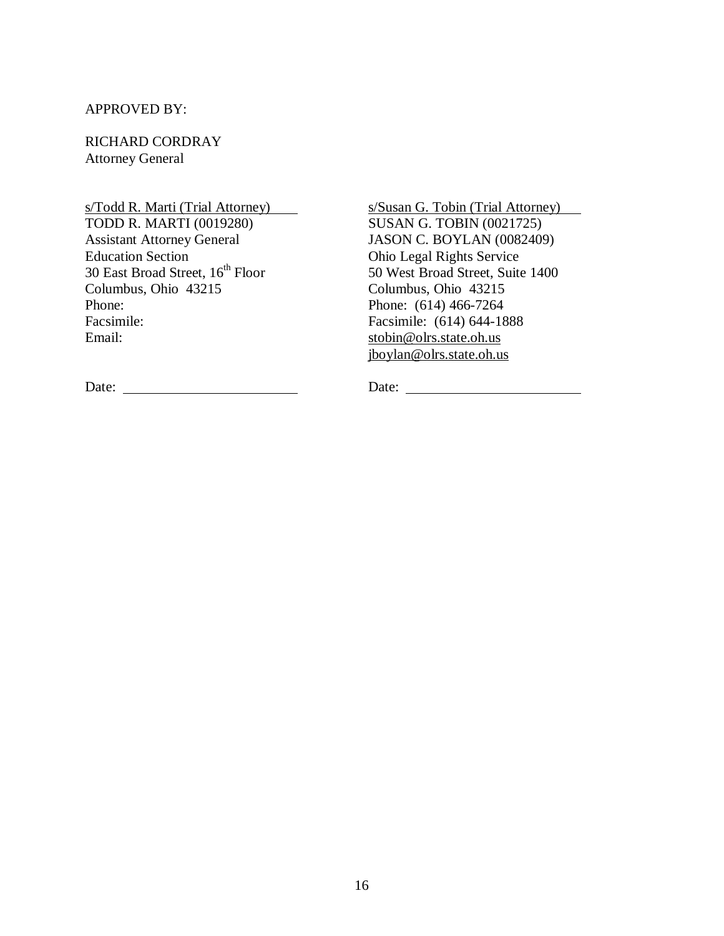### APPROVED BY:

RICHARD CORDRAY Attorney General

s/Todd R. Marti (Trial Attorney) TODD R. MARTI (0019280)

Assistant Attorney General Education Section  $30$  East Broad Street,  $16^{\rm th}$  Floor Columbus, Ohio 43215 Phone: Facsimile: Email:

s/Susan G. Tobin (Trial Attorney) SUSAN G. TOBIN (0021725) JASON C. BOYLAN (0082409) Ohio Legal Rights Service 50 West Broad Street, Suite 1400 Columbus, Ohio 43215 Phone: (614) 466-7264 Facsimile: (614) 644-1888 [stobin@olrs.state.oh.us](mailto:stobin@olrs.state.oh.us) [jboylan@olrs.state.oh.us](mailto:jboylan@olrs.state.oh.us)

Date: Date: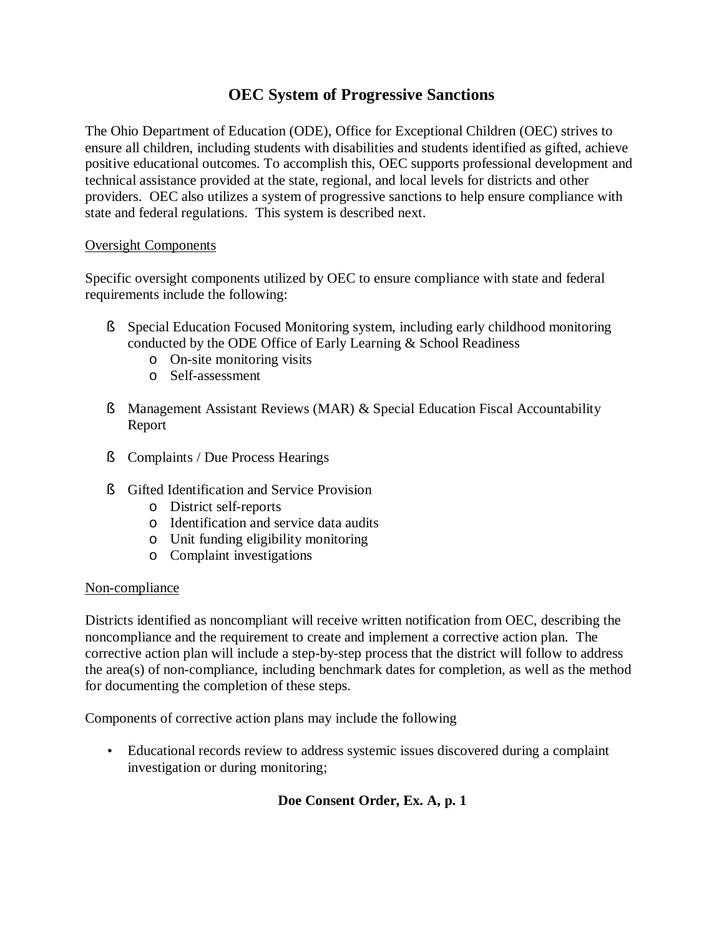# **OEC System of Progressive Sanctions**

The Ohio Department of Education (ODE), Office for Exceptional Children (OEC) strives to ensure all children, including students with disabilities and students identified as gifted, achieve positive educational outcomes. To accomplish this, OEC supports professional development and technical assistance provided at the state, regional, and local levels for districts and other providers. OEC also utilizes a system of progressive sanctions to help ensure compliance with state and federal regulations. This system is described next.

## Oversight Components

Specific oversight components utilized by OEC to ensure compliance with state and federal requirements include the following:

- § Special Education Focused Monitoring system, including early childhood monitoring conducted by the ODE Office of Early Learning & School Readiness
	- o On-site monitoring visits
	- o Self-assessment
- § Management Assistant Reviews (MAR) & Special Education Fiscal Accountability Report
- § Complaints / Due Process Hearings
- § Gifted Identification and Service Provision
	- o District self-reports
	- o Identification and service data audits
	- o Unit funding eligibility monitoring
	- o Complaint investigations

### Non-compliance

Districts identified as noncompliant will receive written notification from OEC, describing the noncompliance and the requirement to create and implement a corrective action plan. The corrective action plan will include a step-by-step process that the district will follow to address the area(s) of non-compliance, including benchmark dates for completion, as well as the method for documenting the completion of these steps.

Components of corrective action plans may include the following

• Educational records review to address systemic issues discovered during a complaint investigation or during monitoring;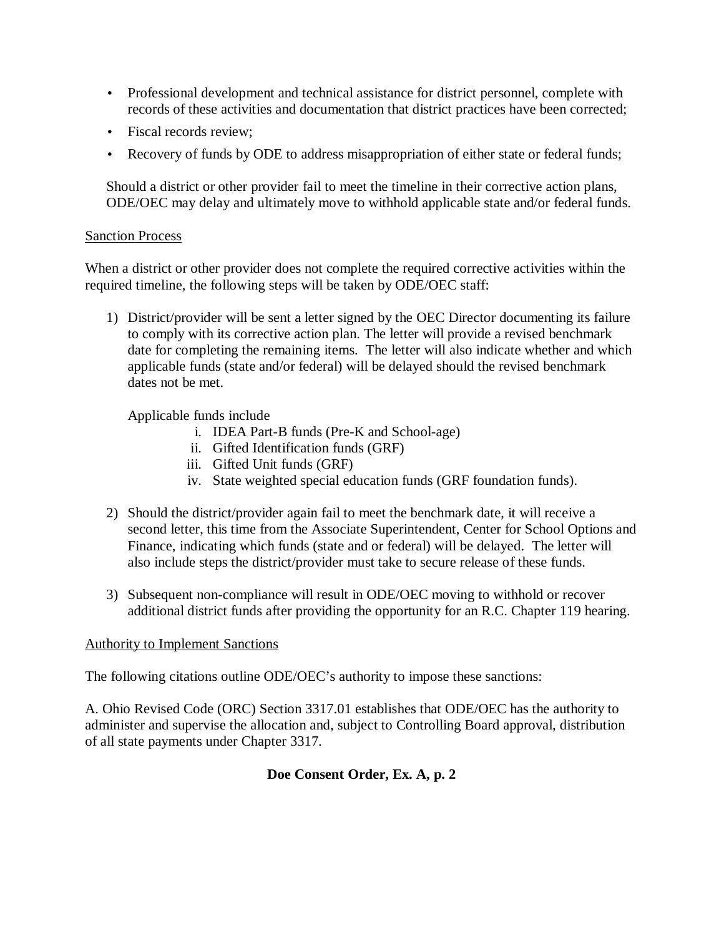- Professional development and technical assistance for district personnel, complete with records of these activities and documentation that district practices have been corrected;
- Fiscal records review:
- Recovery of funds by ODE to address misappropriation of either state or federal funds;

Should a district or other provider fail to meet the timeline in their corrective action plans, ODE/OEC may delay and ultimately move to withhold applicable state and/or federal funds.

### Sanction Process

When a district or other provider does not complete the required corrective activities within the required timeline, the following steps will be taken by ODE/OEC staff:

1) District/provider will be sent a letter signed by the OEC Director documenting its failure to comply with its corrective action plan. The letter will provide a revised benchmark date for completing the remaining items. The letter will also indicate whether and which applicable funds (state and/or federal) will be delayed should the revised benchmark dates not be met.

Applicable funds include

- i. IDEA Part-B funds (Pre-K and School-age)
- ii. Gifted Identification funds (GRF)
- iii. Gifted Unit funds (GRF)
- iv. State weighted special education funds (GRF foundation funds).
- 2) Should the district/provider again fail to meet the benchmark date, it will receive a second letter, this time from the Associate Superintendent, Center for School Options and Finance, indicating which funds (state and or federal) will be delayed. The letter will also include steps the district/provider must take to secure release of these funds.
- 3) Subsequent non-compliance will result in ODE/OEC moving to withhold or recover additional district funds after providing the opportunity for an R.C. Chapter 119 hearing.

## Authority to Implement Sanctions

The following citations outline ODE/OEC's authority to impose these sanctions:

A. Ohio Revised Code (ORC) Section 3317.01 establishes that ODE/OEC has the authority to administer and supervise the allocation and, subject to Controlling Board approval, distribution of all state payments under Chapter 3317.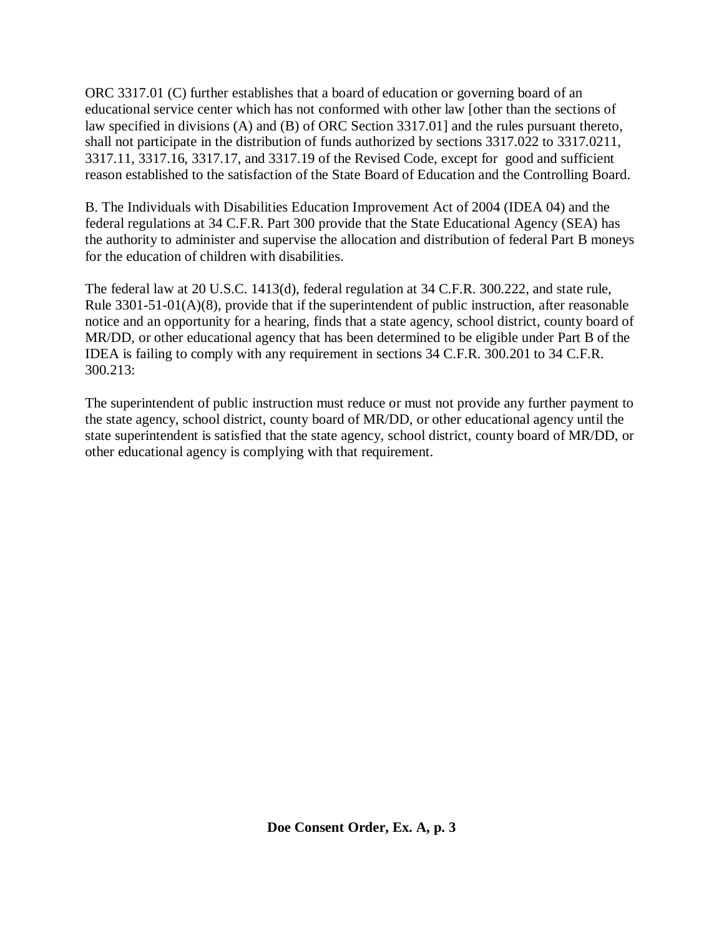ORC 3317.01 (C) further establishes that a board of education or governing board of an educational service center which has not conformed with other law [other than the sections of law specified in divisions (A) and (B) of ORC Section 3317.01] and the rules pursuant thereto, shall not participate in the distribution of funds authorized by sections 3317.022 to 3317.0211, 3317.11, 3317.16, 3317.17, and 3317.19 of the Revised Code, except for good and sufficient reason established to the satisfaction of the State Board of Education and the Controlling Board.

B. The Individuals with Disabilities Education Improvement Act of 2004 (IDEA 04) and the federal regulations at 34 C.F.R. Part 300 provide that the State Educational Agency (SEA) has the authority to administer and supervise the allocation and distribution of federal Part B moneys for the education of children with disabilities.

The federal law at 20 U.S.C. 1413(d), federal regulation at 34 C.F.R. 300.222, and state rule, Rule 3301-51-01(A)(8), provide that if the superintendent of public instruction, after reasonable notice and an opportunity for a hearing, finds that a state agency, school district, county board of MR/DD, or other educational agency that has been determined to be eligible under Part B of the IDEA is failing to comply with any requirement in sections 34 C.F.R. 300.201 to 34 C.F.R. 300.213:

The superintendent of public instruction must reduce or must not provide any further payment to the state agency, school district, county board of MR/DD, or other educational agency until the state superintendent is satisfied that the state agency, school district, county board of MR/DD, or other educational agency is complying with that requirement.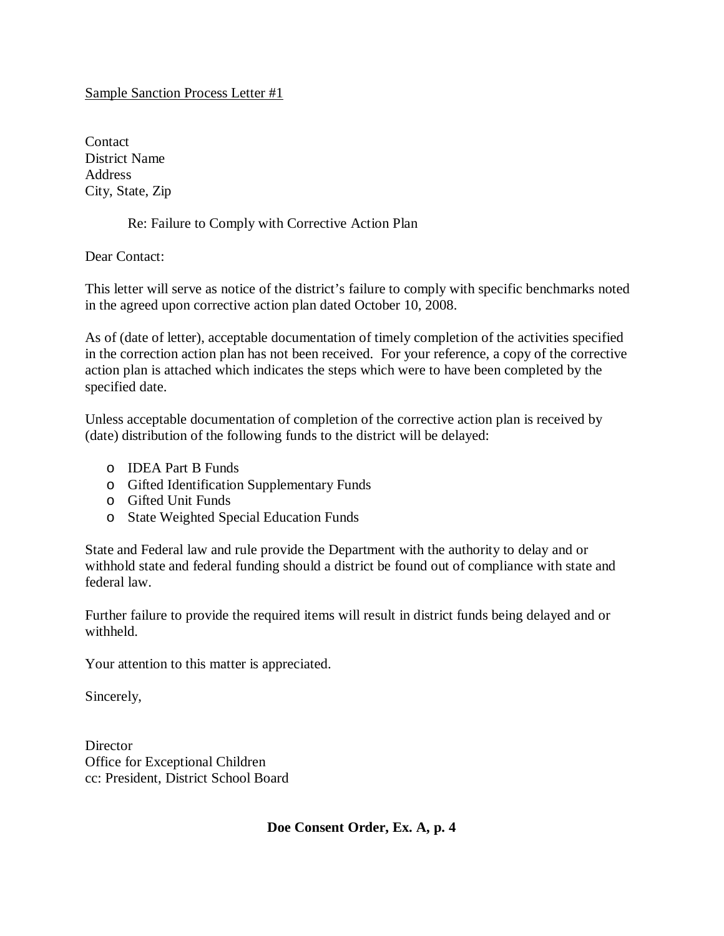## Sample Sanction Process Letter #1

Contact District Name **Address** City, State, Zip

## Re: Failure to Comply with Corrective Action Plan

Dear Contact:

This letter will serve as notice of the district's failure to comply with specific benchmarks noted in the agreed upon corrective action plan dated October 10, 2008.

As of (date of letter), acceptable documentation of timely completion of the activities specified in the correction action plan has not been received. For your reference, a copy of the corrective action plan is attached which indicates the steps which were to have been completed by the specified date.

Unless acceptable documentation of completion of the corrective action plan is received by (date) distribution of the following funds to the district will be delayed:

- o IDEA Part B Funds
- o Gifted Identification Supplementary Funds
- o Gifted Unit Funds
- o State Weighted Special Education Funds

State and Federal law and rule provide the Department with the authority to delay and or withhold state and federal funding should a district be found out of compliance with state and federal law.

Further failure to provide the required items will result in district funds being delayed and or withheld.

Your attention to this matter is appreciated.

Sincerely,

**Director** Office for Exceptional Children cc: President, District School Board